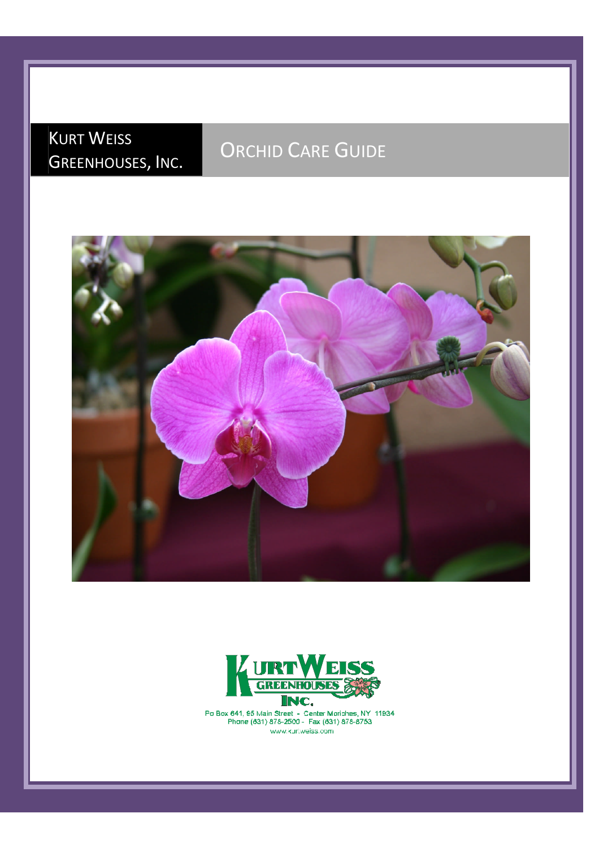## KURT WEISS GREENHOUSES, INC.

## ORCHID CARE GUIDE





Po Box 641, 95 Main Street - Center Moriches, NY 11934<br>Phone (631) 878-2500 - Fax (631) 878-8753 www.kuri.weiss.com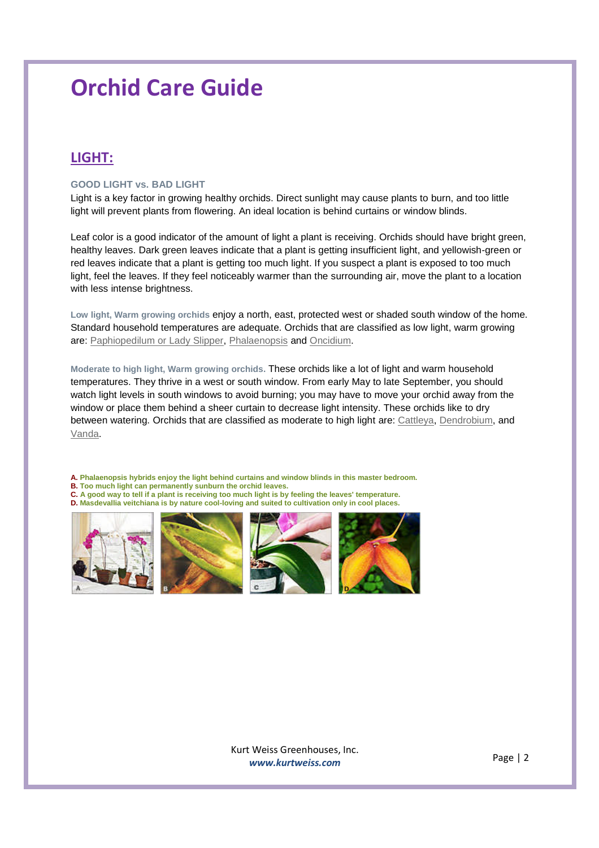### **LIGHT:**

#### **GOOD LIGHT vs. BAD LIGHT**

Light is a key factor in growing healthy orchids. Direct sunlight may cause plants to burn, and too little light will prevent plants from flowering. An ideal location is behind curtains or window blinds.

Leaf color is a good indicator of the amount of light a plant is receiving. Orchids should have bright green, healthy leaves. Dark green leaves indicate that a plant is getting insufficient light, and yellowish-green or red leaves indicate that a plant is getting too much light. If you suspect a plant is exposed to too much light, feel the leaves. If they feel noticeably warmer than the surrounding air, move the plant to a location with less intense brightness.

**Low light, Warm growing orchids** enjoy a north, east, protected west or shaded south window of the home. Standard household temperatures are adequate. Orchids that are classified as low light, warm growing are: Paphiopedilum or Lady Slipper, Phalaenopsis and Oncidium.

**Moderate to high light, Warm growing orchids.** These orchids like a lot of light and warm household temperatures. They thrive in a west or south window. From early May to late September, you should watch light levels in south windows to avoid burning; you may have to move your orchid away from the window or place them behind a sheer curtain to decrease light intensity. These orchids like to dry between watering. Orchids that are classified as moderate to high light are: Cattleya, Dendrobium, and Vanda.

**A. Phalaenopsis hybrids enjoy the light behind curtains and window blinds in this master bedroom. B. Too much light can permanently sunburn the orchid leaves. C. A good way to tell if a plant is receiving too much light is by feeling the leaves' temperature. D. Masdevallia veitchiana is by nature cool-loving and suited to cultivation only in cool places.**







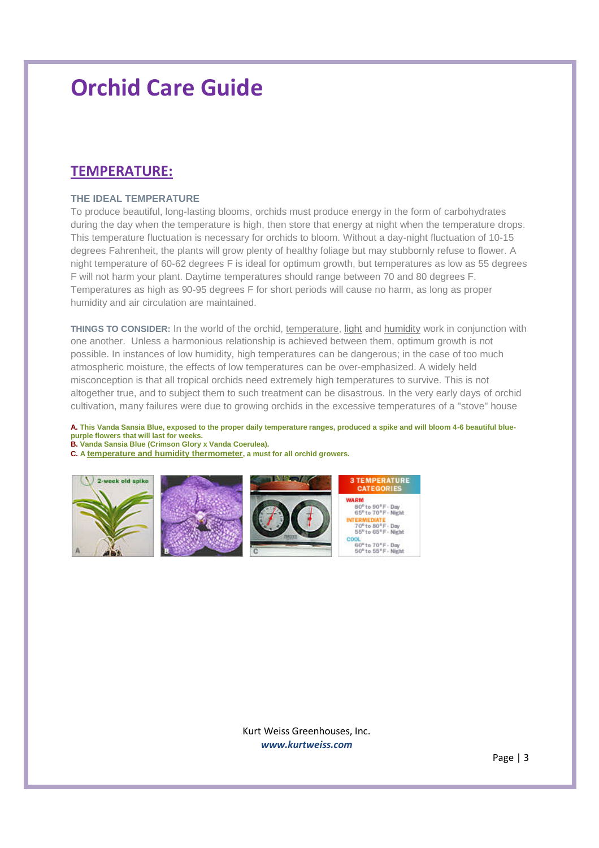### **TEMPERATURE:**

#### **THE IDEAL TEMPERATURE**

To produce beautiful, long-lasting blooms, orchids must produce energy in the form of carbohydrates during the day when the temperature is high, then store that energy at night when the temperature drops. This temperature fluctuation is necessary for orchids to bloom. Without a day-night fluctuation of 10-15 degrees Fahrenheit, the plants will grow plenty of healthy foliage but may stubbornly refuse to flower. A night temperature of 60-62 degrees F is ideal for optimum growth, but temperatures as low as 55 degrees F will not harm your plant. Daytime temperatures should range between 70 and 80 degrees F. Temperatures as high as 90-95 degrees F for short periods will cause no harm, as long as proper humidity and air circulation are maintained.

**THINGS TO CONSIDER:** In the world of the orchid, temperature, light and humidity work in conjunction with one another. Unless a harmonious relationship is achieved between them, optimum growth is not possible. In instances of low humidity, high temperatures can be dangerous; in the case of too much atmospheric moisture, the effects of low temperatures can be over-emphasized. A widely held misconception is that all tropical orchids need extremely high temperatures to survive. This is not altogether true, and to subject them to such treatment can be disastrous. In the very early days of orchid cultivation, many failures were due to growing orchids in the excessive temperatures of a "stove" house

**A. This Vanda Sansia Blue, exposed to the proper daily temperature ranges, produced a spike and will bloom 4-6 beautiful bluepurple flowers that will last for weeks.**

**B. Vanda Sansia Blue (Crimson Glory x Vanda Coerulea).**

**C. A temperature and humidity thermometer, a must for all orchid growers.**





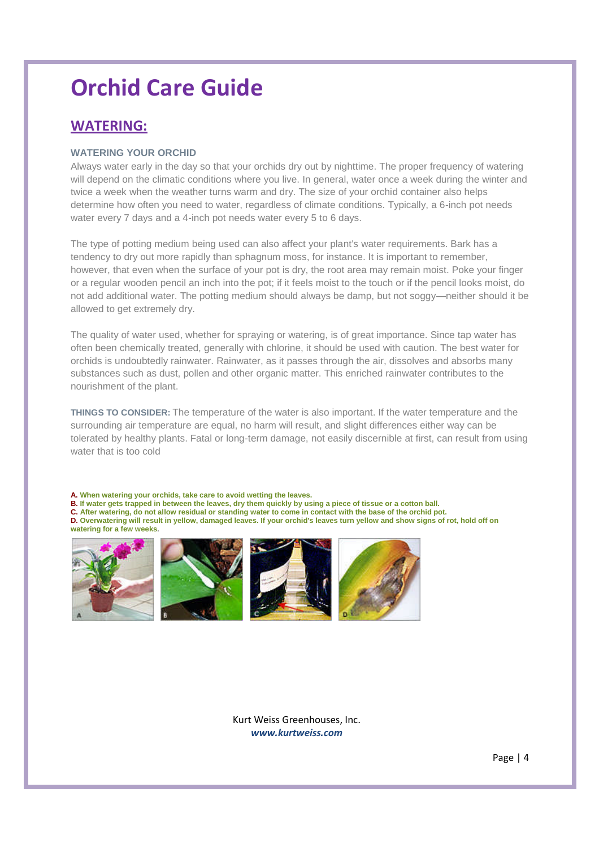### **WATERING:**

#### **WATERING YOUR ORCHID**

Always water early in the day so that your orchids dry out by nighttime. The proper frequency of watering will depend on the climatic conditions where you live. In general, water once a week during the winter and twice a week when the weather turns warm and dry. The size of your orchid container also helps determine how often you need to water, regardless of climate conditions. Typically, a 6-inch pot needs water every 7 days and a 4-inch pot needs water every 5 to 6 days.

The type of potting medium being used can also affect your plant's water requirements. Bark has a tendency to dry out more rapidly than sphagnum moss, for instance. It is important to remember, however, that even when the surface of your pot is dry, the root area may remain moist. Poke your finger or a regular wooden pencil an inch into the pot; if it feels moist to the touch or if the pencil looks moist, do not add additional water. The potting medium should always be damp, but not soggy—neither should it be allowed to get extremely dry.

The quality of water used, whether for spraying or watering, is of great importance. Since tap water has often been chemically treated, generally with chlorine, it should be used with caution. The best water for orchids is undoubtedly rainwater. Rainwater, as it passes through the air, dissolves and absorbs many substances such as dust, pollen and other organic matter. This enriched rainwater contributes to the nourishment of the plant.

**THINGS TO CONSIDER:** The temperature of the water is also important. If the water temperature and the surrounding air temperature are equal, no harm will result, and slight differences either way can be tolerated by healthy plants. Fatal or long-term damage, not easily discernible at first, can result from using water that is too cold

**A. When watering your orchids, take care to avoid wetting the leaves. B. If water gets trapped in between the leaves, dry them quickly by using a piece of tissue or a cotton ball. C. After watering, do not allow residual or standing water to come in contact with the base of the orchid pot. D. Overwatering will result in yellow, damaged leaves. If your orchid's leaves turn yellow and show signs of rot, hold off on watering for a few weeks.**







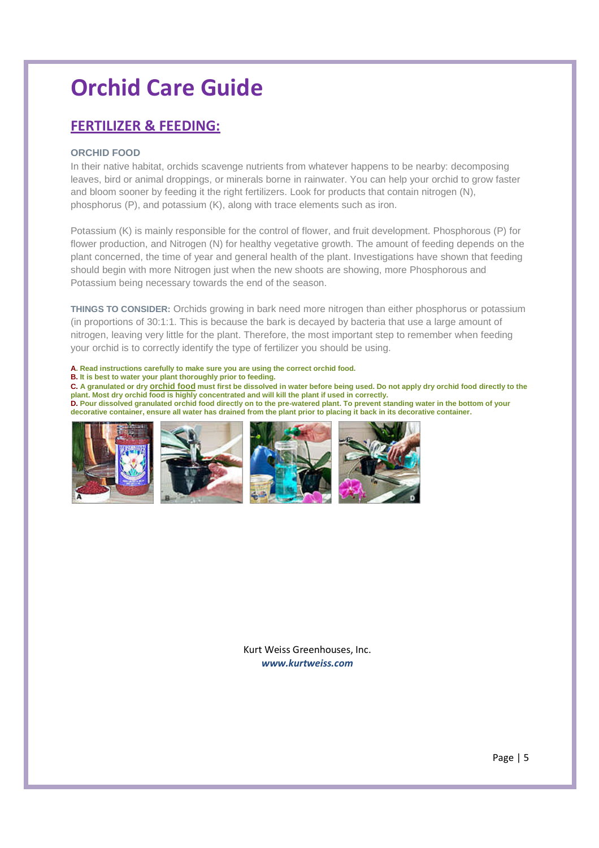### **FERTILIZER & FEEDING:**

### **ORCHID FOOD**

In their native habitat, orchids scavenge nutrients from whatever happens to be nearby: decomposing leaves, bird or animal droppings, or minerals borne in rainwater. You can help your orchid to grow faster and bloom sooner by feeding it the right fertilizers. Look for products that contain nitrogen (N), phosphorus (P), and potassium (K), along with trace elements such as iron.

Potassium (K) is mainly responsible for the control of flower, and fruit development. Phosphorous (P) for flower production, and Nitrogen (N) for healthy vegetative growth. The amount of feeding depends on the plant concerned, the time of year and general health of the plant. Investigations have shown that feeding should begin with more Nitrogen just when the new shoots are showing, more Phosphorous and Potassium being necessary towards the end of the season.

**THINGS TO CONSIDER:** Orchids growing in bark need more nitrogen than either phosphorus or potassium (in proportions of 30:1:1. This is because the bark is decayed by bacteria that use a large amount of nitrogen, leaving very little for the plant. Therefore, the most important step to remember when feeding your orchid is to correctly identify the type of fertilizer you should be using.

#### **A. Read instructions carefully to make sure you are using the correct orchid food.**

**B. It is best to water your plant thoroughly prior to feeding.**

**C. A granulated or dry orchid food must first be dissolved in water before being used. Do not apply dry orchid food directly to the plant. Most dry orchid food is highly concentrated and will kill the plant if used in correctly. D. Pour dissolved granulated orchid food directly on to the pre-watered plant. To prevent standing water in the bottom of your decorative container, ensure all water has drained from the plant prior to placing it back in its decorative container.**

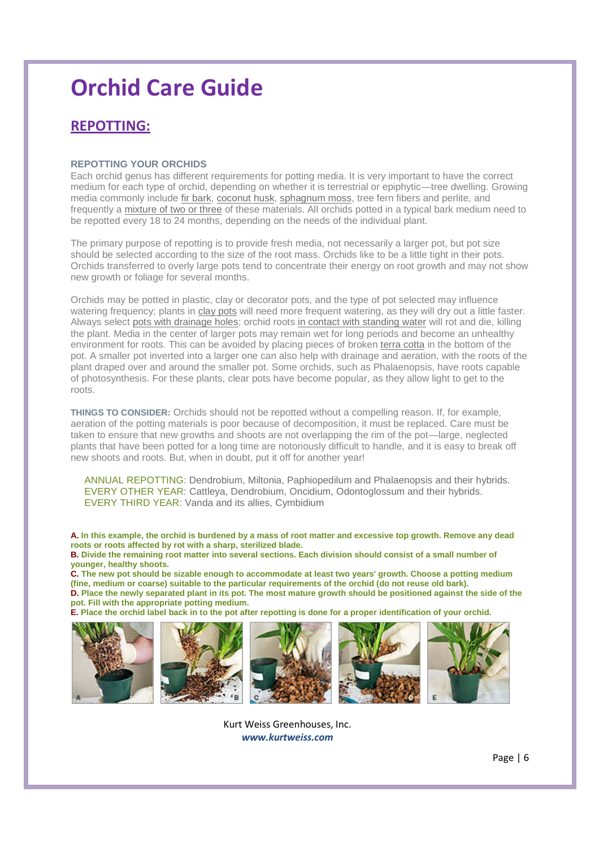### **REPOTTING:**

#### **REPOTTING YOUR ORCHIDS**

Each orchid genus has different requirements for potting media. It is very important to have the correct medium for each type of orchid, depending on whether it is terrestrial or epiphytic—tree dwelling. Growing media commonly include fir bark, coconut husk, sphagnum moss, tree fern fibers and perlite, and frequently a mixture of two or three of these materials. All orchids potted in a typical bark medium need to be repotted every 18 to 24 months, depending on the needs of the individual plant.

The primary purpose of repotting is to provide fresh media, not necessarily a larger pot, but pot size should be selected according to the size of the root mass. Orchids like to be a little tight in their pots. Orchids transferred to overly large pots tend to concentrate their energy on root growth and may not show new growth or foliage for several months.

Orchids may be potted in plastic, clay or decorator pots, and the type of pot selected may influence watering frequency; plants in clay pots will need more frequent watering, as they will dry out a little faster. Always select pots with drainage holes; orchid roots in contact with standing water will rot and die, killing the plant. Media in the center of larger pots may remain wet for long periods and become an unhealthy environment for roots. This can be avoided by placing pieces of broken terra cotta in the bottom of the pot. A smaller pot inverted into a larger one can also help with drainage and aeration, with the roots of the plant draped over and around the smaller pot. Some orchids, such as Phalaenopsis, have roots capable of photosynthesis. For these plants, clear pots have become popular, as they allow light to get to the roots.

**THINGS TO CONSIDER:** Orchids should not be repotted without a compelling reason. If, for example, aeration of the potting materials is poor because of decomposition, it must be replaced. Care must be taken to ensure that new growths and shoots are not overlapping the rim of the pot—large, neglected plants that have been potted for a long time are notoriously difficult to handle, and it is easy to break off new shoots and roots. But, when in doubt, put it off for another year!

ANNUAL REPOTTING: Dendrobium, Miltonia, Paphiopedilum and Phalaenopsis and their hybrids. EVERY OTHER YEAR: Cattleya, Dendrobium, Oncidium, Odontoglossum and their hybrids. EVERY THIRD YEAR: Vanda and its allies, Cymbidium

**A. In this example, the orchid is burdened by a mass of root matter and excessive top growth. Remove any dead roots or roots affected by rot with a sharp, sterilized blade.**

**B. Divide the remaining root matter into several sections. Each division should consist of a small number of younger, healthy shoots.**

**C. The new pot should be sizable enough to accommodate at least two years' growth. Choose a potting medium (fine, medium or coarse) suitable to the particular requirements of the orchid (do not reuse old bark). D. Place the newly separated plant in its pot. The most mature growth should be positioned against the side of the pot. Fill with the appropriate potting medium.**

**E. Place the orchid label back in to the pot after repotting is done for a proper identification of your orchid.**